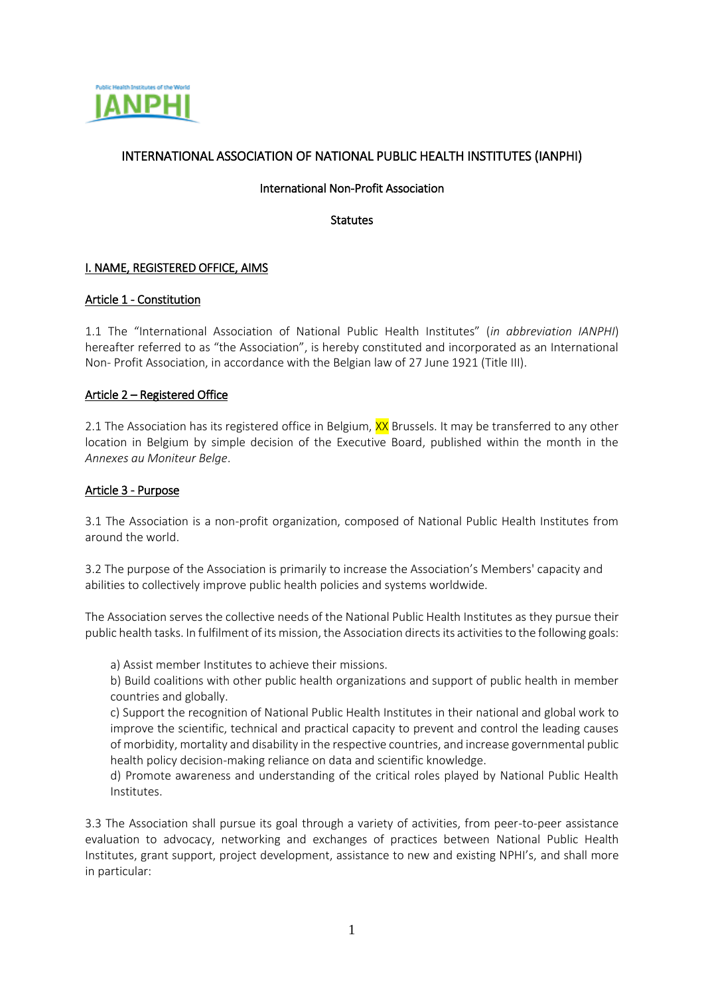

# INTERNATIONAL ASSOCIATION OF NATIONAL PUBLIC HEALTH INSTITUTES (IANPHI)

#### International Non-Profit Association

**Statutes** 

### I. NAME, REGISTERED OFFICE, AIMS

#### Article 1 - Constitution

1.1 The "International Association of National Public Health Institutes" (*in abbreviation IANPHI*) hereafter referred to as "the Association", is hereby constituted and incorporated as an International Non- Profit Association, in accordance with the Belgian law of 27 June 1921 (Title III).

#### Article 2 – Registered Office

2.1 The Association has its registered office in Belgium, XX Brussels. It may be transferred to any other location in Belgium by simple decision of the Executive Board, published within the month in the *Annexes au Moniteur Belge*.

#### Article 3 - Purpose

3.1 The Association is a non-profit organization, composed of National Public Health Institutes from around the world.

3.2 The purpose of the Association is primarily to increase the Association's Members' capacity and abilities to collectively improve public health policies and systems worldwide.

The Association serves the collective needs of the National Public Health Institutes as they pursue their public health tasks. In fulfilment of its mission, the Association directs its activities to the following goals:

a) Assist member Institutes to achieve their missions.

b) Build coalitions with other public health organizations and support of public health in member countries and globally.

c) Support the recognition of National Public Health Institutes in their national and global work to improve the scientific, technical and practical capacity to prevent and control the leading causes of morbidity, mortality and disability in the respective countries, and increase governmental public health policy decision-making reliance on data and scientific knowledge.

d) Promote awareness and understanding of the critical roles played by National Public Health Institutes.

3.3 The Association shall pursue its goal through a variety of activities, from peer-to-peer assistance evaluation to advocacy, networking and exchanges of practices between National Public Health Institutes, grant support, project development, assistance to new and existing NPHI's, and shall more in particular: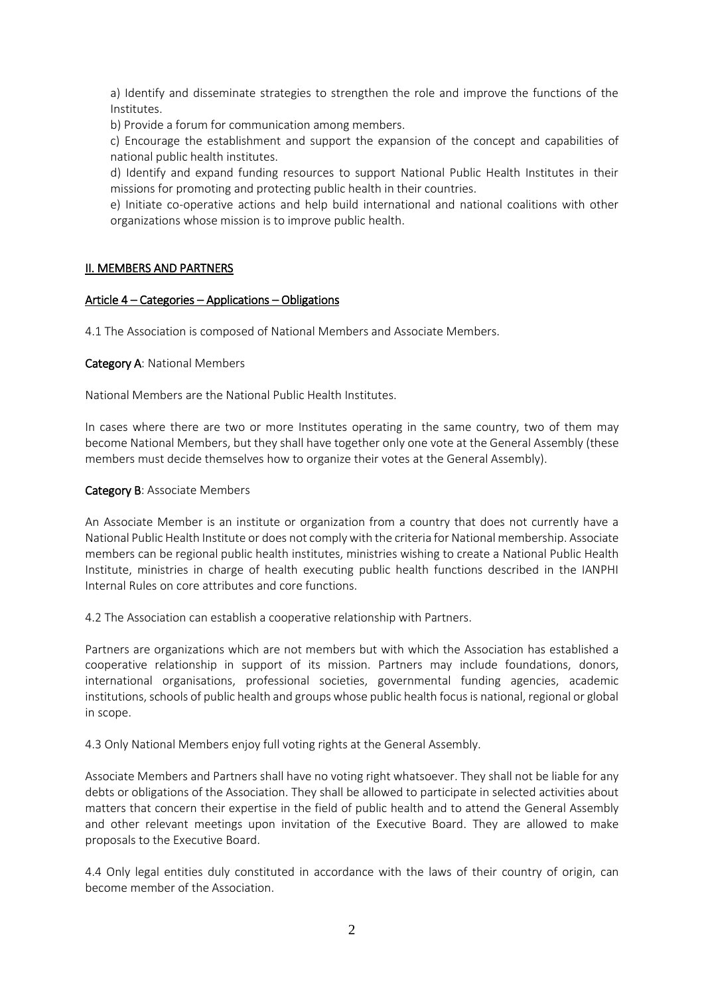a) Identify and disseminate strategies to strengthen the role and improve the functions of the Institutes.

b) Provide a forum for communication among members.

c) Encourage the establishment and support the expansion of the concept and capabilities of national public health institutes.

d) Identify and expand funding resources to support National Public Health Institutes in their missions for promoting and protecting public health in their countries.

e) Initiate co-operative actions and help build international and national coalitions with other organizations whose mission is to improve public health.

### II. MEMBERS AND PARTNERS

#### Article 4 – Categories – Applications – Obligations

4.1 The Association is composed of National Members and Associate Members.

### Category A: National Members

National Members are the National Public Health Institutes.

In cases where there are two or more Institutes operating in the same country, two of them may become National Members, but they shall have together only one vote at the General Assembly (these members must decide themselves how to organize their votes at the General Assembly).

### Category B: Associate Members

An Associate Member is an institute or organization from a country that does not currently have a National Public Health Institute or does not comply with the criteria for National membership. Associate members can be regional public health institutes, ministries wishing to create a National Public Health Institute, ministries in charge of health executing public health functions described in the IANPHI Internal Rules on core attributes and core functions.

4.2 The Association can establish a cooperative relationship with Partners.

Partners are organizations which are not members but with which the Association has established a cooperative relationship in support of its mission. Partners may include foundations, donors, international organisations, professional societies, governmental funding agencies, academic institutions, schools of public health and groups whose public health focus is national, regional or global in scope.

4.3 Only National Members enjoy full voting rights at the General Assembly.

Associate Members and Partners shall have no voting right whatsoever. They shall not be liable for any debts or obligations of the Association. They shall be allowed to participate in selected activities about matters that concern their expertise in the field of public health and to attend the General Assembly and other relevant meetings upon invitation of the Executive Board. They are allowed to make proposals to the Executive Board.

4.4 Only legal entities duly constituted in accordance with the laws of their country of origin, can become member of the Association.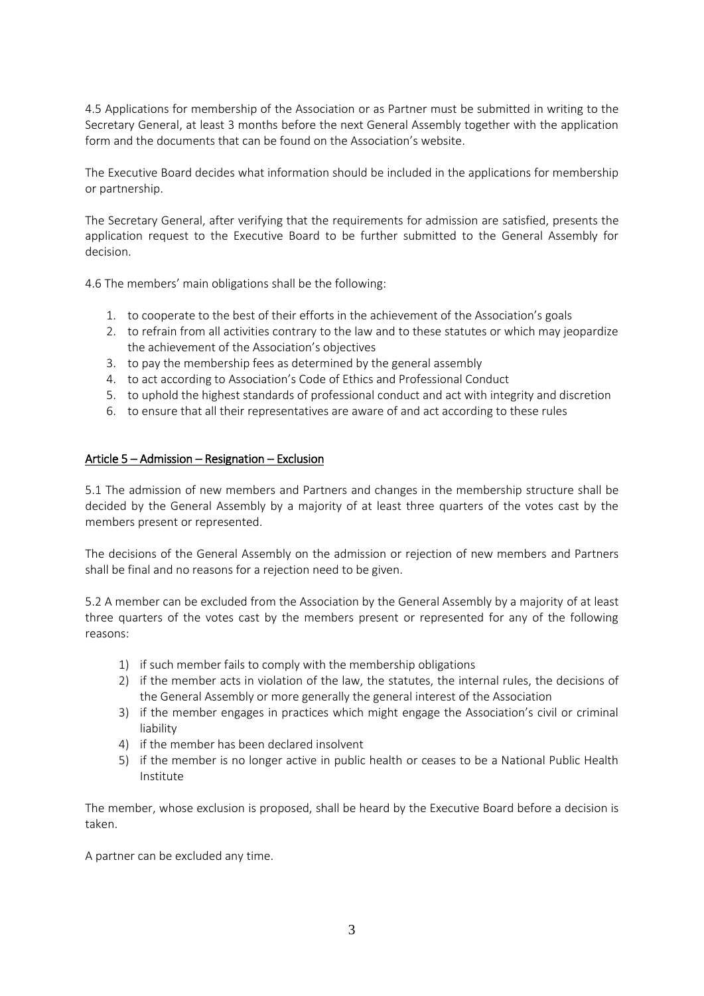4.5 Applications for membership of the Association or as Partner must be submitted in writing to the Secretary General, at least 3 months before the next General Assembly together with the application form and the documents that can be found on the Association's website.

The Executive Board decides what information should be included in the applications for membership or partnership.

The Secretary General, after verifying that the requirements for admission are satisfied, presents the application request to the Executive Board to be further submitted to the General Assembly for decision.

4.6 The members' main obligations shall be the following:

- 1. to cooperate to the best of their efforts in the achievement of the Association's goals
- 2. to refrain from all activities contrary to the law and to these statutes or which may jeopardize the achievement of the Association's objectives
- 3. to pay the membership fees as determined by the general assembly
- 4. to act according to Association's Code of Ethics and Professional Conduct
- 5. to uphold the highest standards of professional conduct and act with integrity and discretion
- 6. to ensure that all their representatives are aware of and act according to these rules

#### Article 5 – Admission – Resignation – Exclusion

5.1 The admission of new members and Partners and changes in the membership structure shall be decided by the General Assembly by a majority of at least three quarters of the votes cast by the members present or represented.

The decisions of the General Assembly on the admission or rejection of new members and Partners shall be final and no reasons for a rejection need to be given.

5.2 A member can be excluded from the Association by the General Assembly by a majority of at least three quarters of the votes cast by the members present or represented for any of the following reasons:

- 1) if such member fails to comply with the membership obligations
- 2) if the member acts in violation of the law, the statutes, the internal rules, the decisions of the General Assembly or more generally the general interest of the Association
- 3) if the member engages in practices which might engage the Association's civil or criminal liability
- 4) if the member has been declared insolvent
- 5) if the member is no longer active in public health or ceases to be a National Public Health Institute

The member, whose exclusion is proposed, shall be heard by the Executive Board before a decision is taken.

A partner can be excluded any time.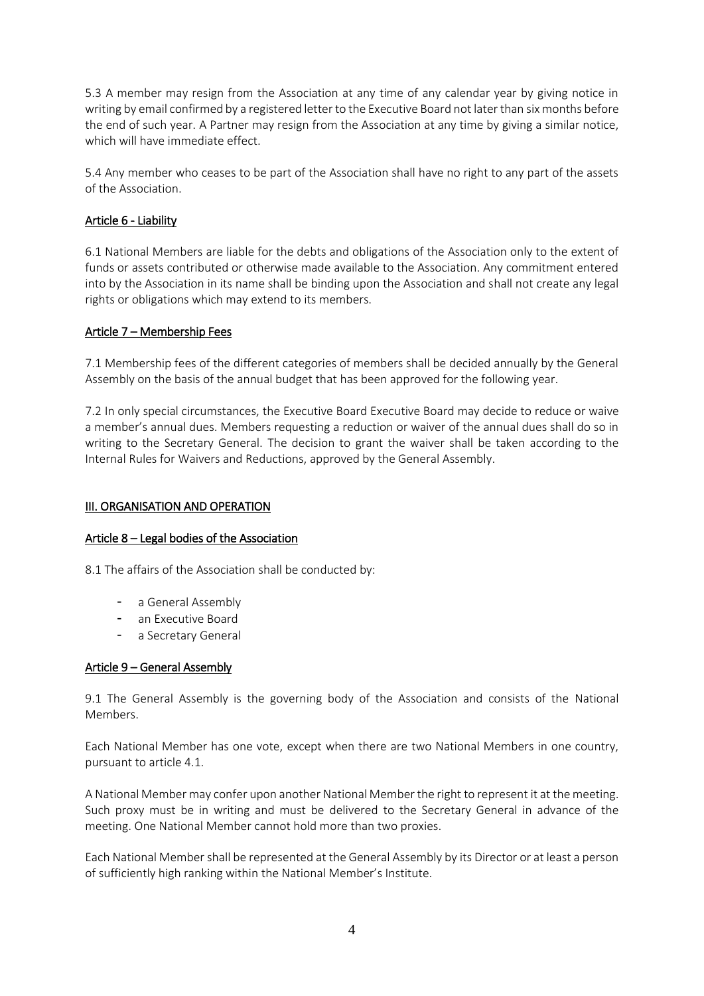5.3 A member may resign from the Association at any time of any calendar year by giving notice in writing by email confirmed by a registered letter to the Executive Board not later than six months before the end of such year. A Partner may resign from the Association at any time by giving a similar notice, which will have immediate effect.

5.4 Any member who ceases to be part of the Association shall have no right to any part of the assets of the Association.

# Article 6 - Liability

6.1 National Members are liable for the debts and obligations of the Association only to the extent of funds or assets contributed or otherwise made available to the Association. Any commitment entered into by the Association in its name shall be binding upon the Association and shall not create any legal rights or obligations which may extend to its members.

## Article 7 – Membership Fees

7.1 Membership fees of the different categories of members shall be decided annually by the General Assembly on the basis of the annual budget that has been approved for the following year.

7.2 In only special circumstances, the Executive Board Executive Board may decide to reduce or waive a member's annual dues. Members requesting a reduction or waiver of the annual dues shall do so in writing to the Secretary General. The decision to grant the waiver shall be taken according to the Internal Rules for Waivers and Reductions, approved by the General Assembly.

## III. ORGANISATION AND OPERATION

## Article 8 – Legal bodies of the Association

8.1 The affairs of the Association shall be conducted by:

- a General Assembly
- an Executive Board
- a Secretary General

## Article 9 – General Assembly

9.1 The General Assembly is the governing body of the Association and consists of the National Members.

Each National Member has one vote, except when there are two National Members in one country, pursuant to article 4.1.

A National Member may confer upon another National Member the right to represent it at the meeting. Such proxy must be in writing and must be delivered to the Secretary General in advance of the meeting. One National Member cannot hold more than two proxies.

Each National Member shall be represented at the General Assembly by its Director or at least a person of sufficiently high ranking within the National Member's Institute.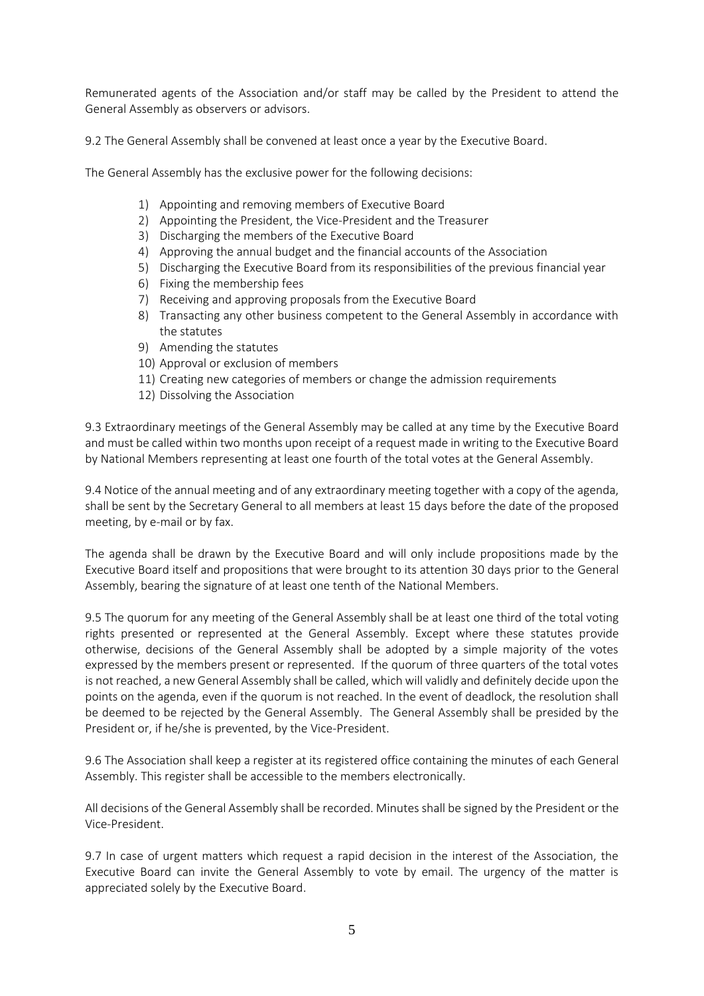Remunerated agents of the Association and/or staff may be called by the President to attend the General Assembly as observers or advisors.

9.2 The General Assembly shall be convened at least once a year by the Executive Board.

The General Assembly has the exclusive power for the following decisions:

- 1) Appointing and removing members of Executive Board
- 2) Appointing the President, the Vice-President and the Treasurer
- 3) Discharging the members of the Executive Board
- 4) Approving the annual budget and the financial accounts of the Association
- 5) Discharging the Executive Board from its responsibilities of the previous financial year
- 6) Fixing the membership fees
- 7) Receiving and approving proposals from the Executive Board
- 8) Transacting any other business competent to the General Assembly in accordance with the statutes
- 9) Amending the statutes
- 10) Approval or exclusion of members
- 11) Creating new categories of members or change the admission requirements
- 12) Dissolving the Association

9.3 Extraordinary meetings of the General Assembly may be called at any time by the Executive Board and must be called within two months upon receipt of a request made in writing to the Executive Board by National Members representing at least one fourth of the total votes at the General Assembly.

9.4 Notice of the annual meeting and of any extraordinary meeting together with a copy of the agenda, shall be sent by the Secretary General to all members at least 15 days before the date of the proposed meeting, by e-mail or by fax.

The agenda shall be drawn by the Executive Board and will only include propositions made by the Executive Board itself and propositions that were brought to its attention 30 days prior to the General Assembly, bearing the signature of at least one tenth of the National Members.

9.5 The quorum for any meeting of the General Assembly shall be at least one third of the total voting rights presented or represented at the General Assembly. Except where these statutes provide otherwise, decisions of the General Assembly shall be adopted by a simple majority of the votes expressed by the members present or represented. If the quorum of three quarters of the total votes is not reached, a new General Assembly shall be called, which will validly and definitely decide upon the points on the agenda, even if the quorum is not reached. In the event of deadlock, the resolution shall be deemed to be rejected by the General Assembly. The General Assembly shall be presided by the President or, if he/she is prevented, by the Vice-President.

9.6 The Association shall keep a register at its registered office containing the minutes of each General Assembly. This register shall be accessible to the members electronically.

All decisions of the General Assembly shall be recorded. Minutes shall be signed by the President or the Vice-President.

9.7 In case of urgent matters which request a rapid decision in the interest of the Association, the Executive Board can invite the General Assembly to vote by email. The urgency of the matter is appreciated solely by the Executive Board.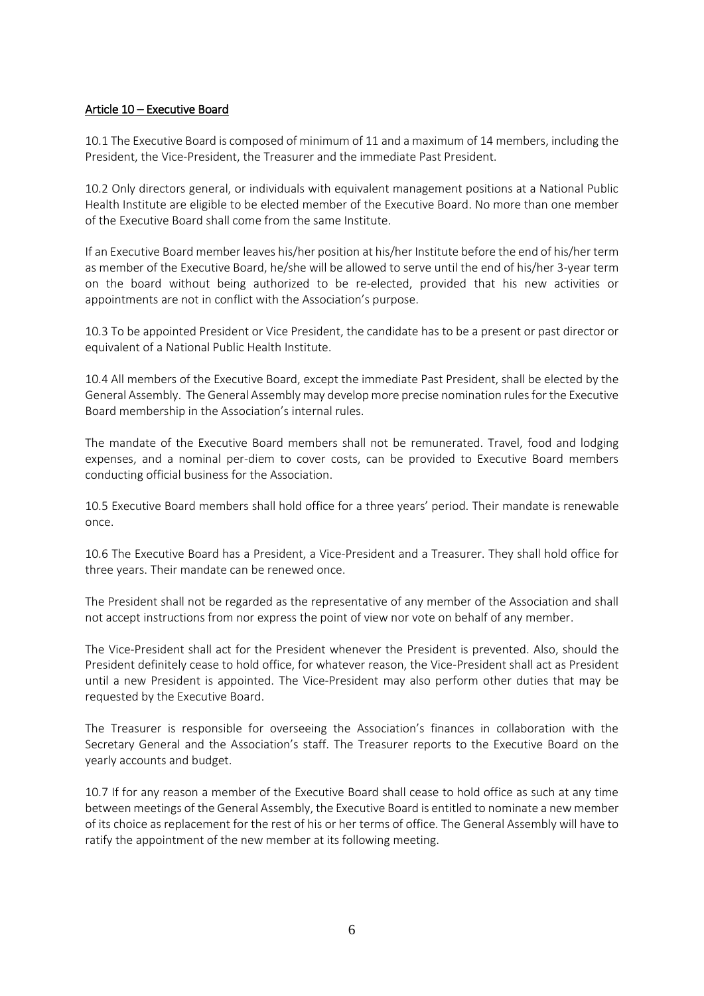### Article 10 – Executive Board

10.1 The Executive Board is composed of minimum of 11 and a maximum of 14 members, including the President, the Vice-President, the Treasurer and the immediate Past President.

10.2 Only directors general, or individuals with equivalent management positions at a National Public Health Institute are eligible to be elected member of the Executive Board. No more than one member of the Executive Board shall come from the same Institute.

If an Executive Board member leaves his/her position at his/her Institute before the end of his/her term as member of the Executive Board, he/she will be allowed to serve until the end of his/her 3-year term on the board without being authorized to be re-elected, provided that his new activities or appointments are not in conflict with the Association's purpose.

10.3 To be appointed President or Vice President, the candidate has to be a present or past director or equivalent of a National Public Health Institute.

10.4 All members of the Executive Board, except the immediate Past President, shall be elected by the General Assembly. The General Assembly may develop more precise nomination rules for the Executive Board membership in the Association's internal rules.

The mandate of the Executive Board members shall not be remunerated. Travel, food and lodging expenses, and a nominal per-diem to cover costs, can be provided to Executive Board members conducting official business for the Association.

10.5 Executive Board members shall hold office for a three years' period. Their mandate is renewable once.

10.6 The Executive Board has a President, a Vice-President and a Treasurer. They shall hold office for three years. Their mandate can be renewed once.

The President shall not be regarded as the representative of any member of the Association and shall not accept instructions from nor express the point of view nor vote on behalf of any member.

The Vice-President shall act for the President whenever the President is prevented. Also, should the President definitely cease to hold office, for whatever reason, the Vice-President shall act as President until a new President is appointed. The Vice-President may also perform other duties that may be requested by the Executive Board.

The Treasurer is responsible for overseeing the Association's finances in collaboration with the Secretary General and the Association's staff. The Treasurer reports to the Executive Board on the yearly accounts and budget.

10.7 If for any reason a member of the Executive Board shall cease to hold office as such at any time between meetings of the General Assembly, the Executive Board is entitled to nominate a new member of its choice as replacement for the rest of his or her terms of office. The General Assembly will have to ratify the appointment of the new member at its following meeting.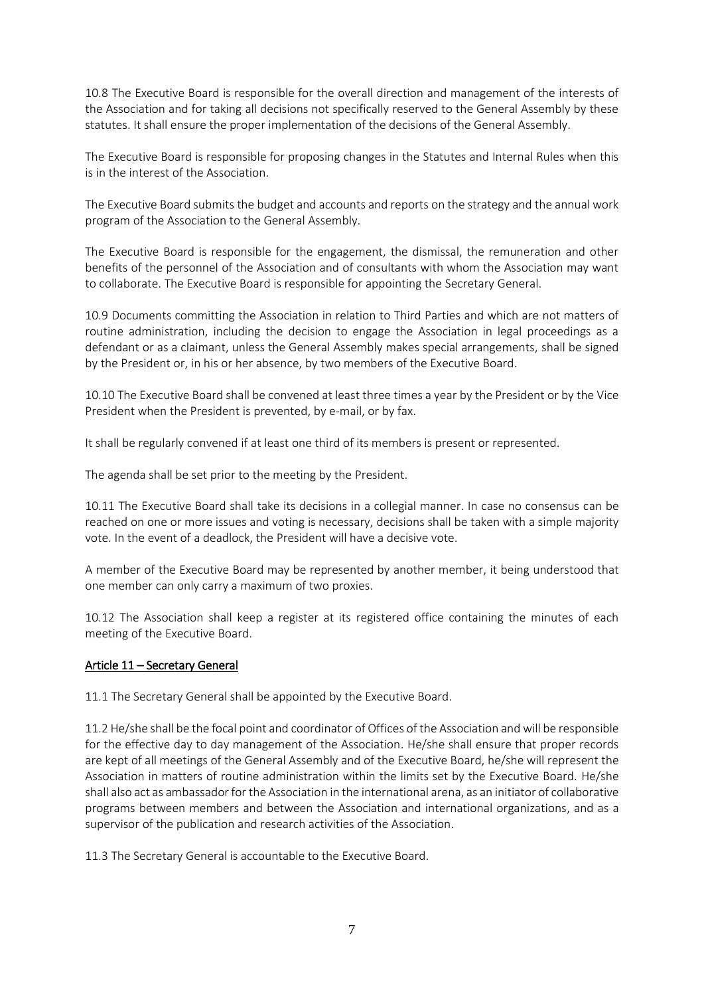10.8 The Executive Board is responsible for the overall direction and management of the interests of the Association and for taking all decisions not specifically reserved to the General Assembly by these statutes. It shall ensure the proper implementation of the decisions of the General Assembly.

The Executive Board is responsible for proposing changes in the Statutes and Internal Rules when this is in the interest of the Association.

The Executive Board submits the budget and accounts and reports on the strategy and the annual work program of the Association to the General Assembly.

The Executive Board is responsible for the engagement, the dismissal, the remuneration and other benefits of the personnel of the Association and of consultants with whom the Association may want to collaborate. The Executive Board is responsible for appointing the Secretary General.

10.9 Documents committing the Association in relation to Third Parties and which are not matters of routine administration, including the decision to engage the Association in legal proceedings as a defendant or as a claimant, unless the General Assembly makes special arrangements, shall be signed by the President or, in his or her absence, by two members of the Executive Board.

10.10 The Executive Board shall be convened at least three times a year by the President or by the Vice President when the President is prevented, by e-mail, or by fax.

It shall be regularly convened if at least one third of its members is present or represented.

The agenda shall be set prior to the meeting by the President.

10.11 The Executive Board shall take its decisions in a collegial manner. In case no consensus can be reached on one or more issues and voting is necessary, decisions shall be taken with a simple majority vote. In the event of a deadlock, the President will have a decisive vote.

A member of the Executive Board may be represented by another member, it being understood that one member can only carry a maximum of two proxies.

10.12 The Association shall keep a register at its registered office containing the minutes of each meeting of the Executive Board.

#### Article 11 – Secretary General

11.1 The Secretary General shall be appointed by the Executive Board.

11.2 He/she shall be the focal point and coordinator of Offices of the Association and will be responsible for the effective day to day management of the Association. He/she shall ensure that proper records are kept of all meetings of the General Assembly and of the Executive Board, he/she will represent the Association in matters of routine administration within the limits set by the Executive Board. He/she shall also act as ambassador for the Association in the international arena, as an initiator of collaborative programs between members and between the Association and international organizations, and as a supervisor of the publication and research activities of the Association.

11.3 The Secretary General is accountable to the Executive Board.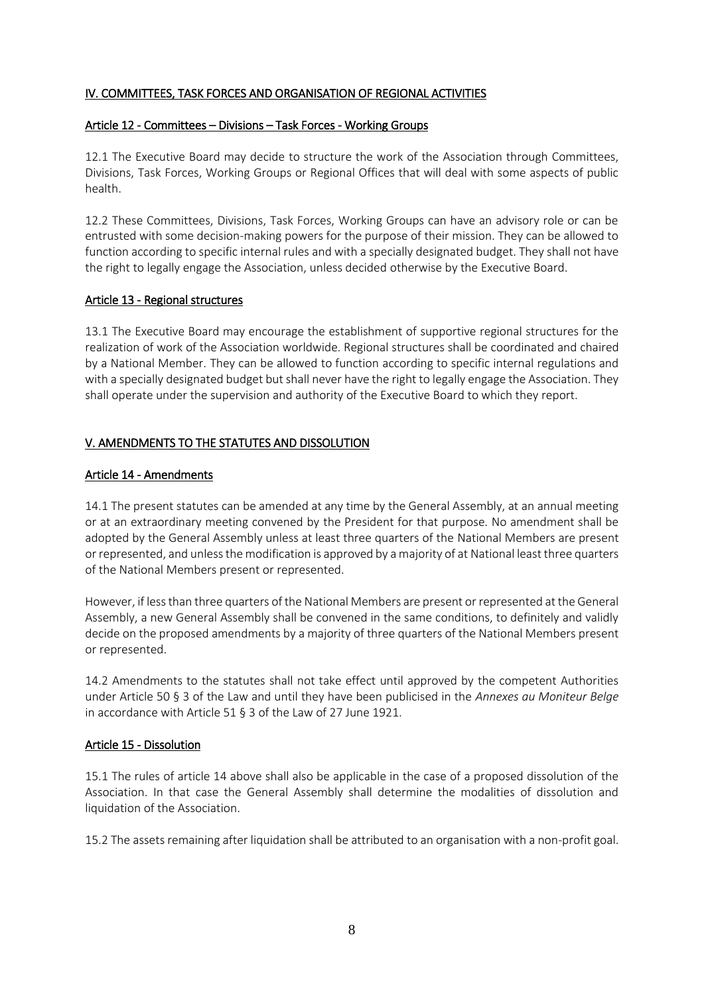# IV. COMMITTEES, TASK FORCES AND ORGANISATION OF REGIONAL ACTIVITIES

### Article 12 - Committees – Divisions – Task Forces - Working Groups

12.1 The Executive Board may decide to structure the work of the Association through Committees, Divisions, Task Forces, Working Groups or Regional Offices that will deal with some aspects of public health.

12.2 These Committees, Divisions, Task Forces, Working Groups can have an advisory role or can be entrusted with some decision-making powers for the purpose of their mission. They can be allowed to function according to specific internal rules and with a specially designated budget. They shall not have the right to legally engage the Association, unless decided otherwise by the Executive Board.

## Article 13 - Regional structures

13.1 The Executive Board may encourage the establishment of supportive regional structures for the realization of work of the Association worldwide. Regional structures shall be coordinated and chaired by a National Member. They can be allowed to function according to specific internal regulations and with a specially designated budget but shall never have the right to legally engage the Association. They shall operate under the supervision and authority of the Executive Board to which they report.

# V. AMENDMENTS TO THE STATUTES AND DISSOLUTION

## Article 14 - Amendments

14.1 The present statutes can be amended at any time by the General Assembly, at an annual meeting or at an extraordinary meeting convened by the President for that purpose. No amendment shall be adopted by the General Assembly unless at least three quarters of the National Members are present or represented, and unless the modification is approved by a majority of at National least three quarters of the National Members present or represented.

However, if less than three quarters of the National Members are present or represented at the General Assembly, a new General Assembly shall be convened in the same conditions, to definitely and validly decide on the proposed amendments by a majority of three quarters of the National Members present or represented.

14.2 Amendments to the statutes shall not take effect until approved by the competent Authorities under Article 50 § 3 of the Law and until they have been publicised in the *Annexes au Moniteur Belge* in accordance with Article 51 § 3 of the Law of 27 June 1921.

## Article 15 - Dissolution

15.1 The rules of article 14 above shall also be applicable in the case of a proposed dissolution of the Association. In that case the General Assembly shall determine the modalities of dissolution and liquidation of the Association.

15.2 The assets remaining after liquidation shall be attributed to an organisation with a non-profit goal.